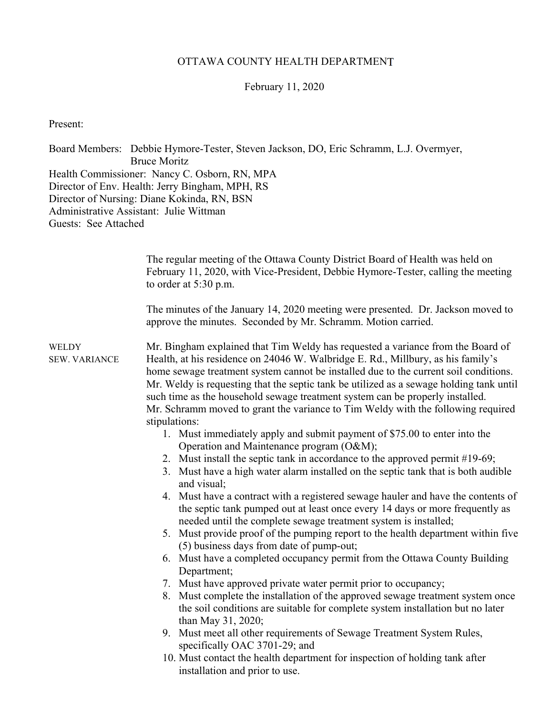# OTTAWA COUNTY HEALTH DEPARTMENT

## February 11, 2020

Present:

Board Members: Debbie Hymore-Tester, Steven Jackson, DO, Eric Schramm, L.J. Overmyer, Bruce Moritz Health Commissioner: Nancy C. Osborn, RN, MPA Director of Env. Health: Jerry Bingham, MPH, RS Director of Nursing: Diane Kokinda, RN, BSN Administrative Assistant: Julie Wittman Guests: See Attached

|                                      | The regular meeting of the Ottawa County District Board of Health was held on<br>February 11, 2020, with Vice-President, Debbie Hymore-Tester, calling the meeting<br>to order at $5:30$ p.m.                                                                                                                                                                                                                                                                                                                                                                                                                                                                                                                                                                                                                                                                                                                                                                                                                                                                                                                                                                                                                                                                                                                                                                                                                                                                                                                                                                                                                                                                                                                                                                                     |
|--------------------------------------|-----------------------------------------------------------------------------------------------------------------------------------------------------------------------------------------------------------------------------------------------------------------------------------------------------------------------------------------------------------------------------------------------------------------------------------------------------------------------------------------------------------------------------------------------------------------------------------------------------------------------------------------------------------------------------------------------------------------------------------------------------------------------------------------------------------------------------------------------------------------------------------------------------------------------------------------------------------------------------------------------------------------------------------------------------------------------------------------------------------------------------------------------------------------------------------------------------------------------------------------------------------------------------------------------------------------------------------------------------------------------------------------------------------------------------------------------------------------------------------------------------------------------------------------------------------------------------------------------------------------------------------------------------------------------------------------------------------------------------------------------------------------------------------|
|                                      | The minutes of the January 14, 2020 meeting were presented. Dr. Jackson moved to<br>approve the minutes. Seconded by Mr. Schramm. Motion carried.                                                                                                                                                                                                                                                                                                                                                                                                                                                                                                                                                                                                                                                                                                                                                                                                                                                                                                                                                                                                                                                                                                                                                                                                                                                                                                                                                                                                                                                                                                                                                                                                                                 |
| <b>WELDY</b><br><b>SEW. VARIANCE</b> | Mr. Bingham explained that Tim Weldy has requested a variance from the Board of<br>Health, at his residence on 24046 W. Walbridge E. Rd., Millbury, as his family's<br>home sewage treatment system cannot be installed due to the current soil conditions.<br>Mr. Weldy is requesting that the septic tank be utilized as a sewage holding tank until<br>such time as the household sewage treatment system can be properly installed.<br>Mr. Schramm moved to grant the variance to Tim Weldy with the following required<br>stipulations:<br>1. Must immediately apply and submit payment of \$75.00 to enter into the<br>Operation and Maintenance program (O&M);<br>2. Must install the septic tank in accordance to the approved permit #19-69;<br>3. Must have a high water alarm installed on the septic tank that is both audible<br>and visual;<br>4. Must have a contract with a registered sewage hauler and have the contents of<br>the septic tank pumped out at least once every 14 days or more frequently as<br>needed until the complete sewage treatment system is installed;<br>5. Must provide proof of the pumping report to the health department within five<br>(5) business days from date of pump-out;<br>6. Must have a completed occupancy permit from the Ottawa County Building<br>Department;<br>7. Must have approved private water permit prior to occupancy;<br>8. Must complete the installation of the approved sewage treatment system once<br>the soil conditions are suitable for complete system installation but no later<br>than May 31, 2020;<br>9. Must meet all other requirements of Sewage Treatment System Rules,<br>specifically OAC 3701-29; and<br>10. Must contact the health department for inspection of holding tank after |
|                                      | installation and prior to use.                                                                                                                                                                                                                                                                                                                                                                                                                                                                                                                                                                                                                                                                                                                                                                                                                                                                                                                                                                                                                                                                                                                                                                                                                                                                                                                                                                                                                                                                                                                                                                                                                                                                                                                                                    |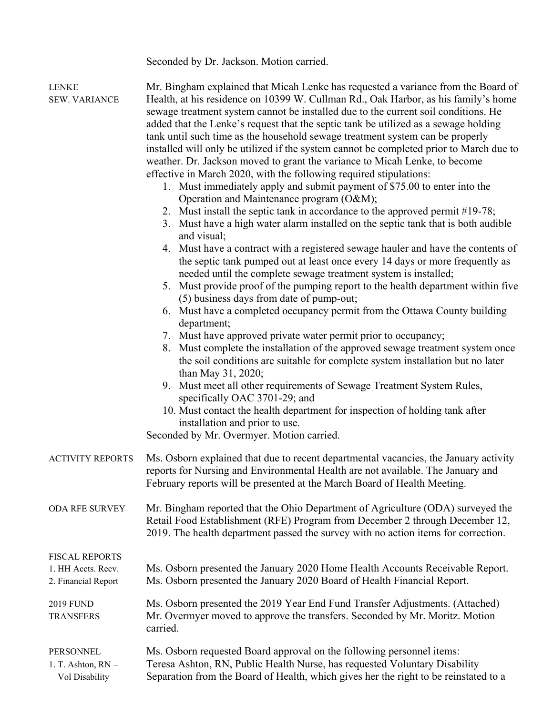Seconded by Dr. Jackson. Motion carried.

| LENKE<br><b>SEW. VARIANCE</b>                                      | Mr. Bingham explained that Micah Lenke has requested a variance from the Board of<br>Health, at his residence on 10399 W. Cullman Rd., Oak Harbor, as his family's home<br>sewage treatment system cannot be installed due to the current soil conditions. He<br>added that the Lenke's request that the septic tank be utilized as a sewage holding<br>tank until such time as the household sewage treatment system can be properly<br>installed will only be utilized if the system cannot be completed prior to March due to<br>weather. Dr. Jackson moved to grant the variance to Micah Lenke, to become<br>effective in March 2020, with the following required stipulations:<br>1. Must immediately apply and submit payment of \$75.00 to enter into the<br>Operation and Maintenance program (O&M);<br>2. Must install the septic tank in accordance to the approved permit #19-78;<br>3. Must have a high water alarm installed on the septic tank that is both audible<br>and visual;<br>4. Must have a contract with a registered sewage hauler and have the contents of<br>the septic tank pumped out at least once every 14 days or more frequently as<br>needed until the complete sewage treatment system is installed;<br>5. Must provide proof of the pumping report to the health department within five<br>(5) business days from date of pump-out;<br>6. Must have a completed occupancy permit from the Ottawa County building<br>department;<br>7. Must have approved private water permit prior to occupancy;<br>8. Must complete the installation of the approved sewage treatment system once<br>the soil conditions are suitable for complete system installation but no later<br>than May 31, 2020;<br>9. Must meet all other requirements of Sewage Treatment System Rules,<br>specifically OAC 3701-29; and<br>10. Must contact the health department for inspection of holding tank after<br>installation and prior to use.<br>Seconded by Mr. Overmyer. Motion carried. |
|--------------------------------------------------------------------|----------------------------------------------------------------------------------------------------------------------------------------------------------------------------------------------------------------------------------------------------------------------------------------------------------------------------------------------------------------------------------------------------------------------------------------------------------------------------------------------------------------------------------------------------------------------------------------------------------------------------------------------------------------------------------------------------------------------------------------------------------------------------------------------------------------------------------------------------------------------------------------------------------------------------------------------------------------------------------------------------------------------------------------------------------------------------------------------------------------------------------------------------------------------------------------------------------------------------------------------------------------------------------------------------------------------------------------------------------------------------------------------------------------------------------------------------------------------------------------------------------------------------------------------------------------------------------------------------------------------------------------------------------------------------------------------------------------------------------------------------------------------------------------------------------------------------------------------------------------------------------------------------------------------------------------------------------------------------------------------------------|
| <b>ACTIVITY REPORTS</b>                                            | Ms. Osborn explained that due to recent departmental vacancies, the January activity<br>reports for Nursing and Environmental Health are not available. The January and<br>February reports will be presented at the March Board of Health Meeting.                                                                                                                                                                                                                                                                                                                                                                                                                                                                                                                                                                                                                                                                                                                                                                                                                                                                                                                                                                                                                                                                                                                                                                                                                                                                                                                                                                                                                                                                                                                                                                                                                                                                                                                                                      |
| ODA RFE SURVEY                                                     | Mr. Bingham reported that the Ohio Department of Agriculture (ODA) surveyed the<br>Retail Food Establishment (RFE) Program from December 2 through December 12,<br>2019. The health department passed the survey with no action items for correction.                                                                                                                                                                                                                                                                                                                                                                                                                                                                                                                                                                                                                                                                                                                                                                                                                                                                                                                                                                                                                                                                                                                                                                                                                                                                                                                                                                                                                                                                                                                                                                                                                                                                                                                                                    |
| <b>FISCAL REPORTS</b><br>1. HH Accts. Recv.<br>2. Financial Report | Ms. Osborn presented the January 2020 Home Health Accounts Receivable Report.<br>Ms. Osborn presented the January 2020 Board of Health Financial Report.                                                                                                                                                                                                                                                                                                                                                                                                                                                                                                                                                                                                                                                                                                                                                                                                                                                                                                                                                                                                                                                                                                                                                                                                                                                                                                                                                                                                                                                                                                                                                                                                                                                                                                                                                                                                                                                 |
| 2019 FUND<br><b>TRANSFERS</b>                                      | Ms. Osborn presented the 2019 Year End Fund Transfer Adjustments. (Attached)<br>Mr. Overmyer moved to approve the transfers. Seconded by Mr. Moritz. Motion<br>carried.                                                                                                                                                                                                                                                                                                                                                                                                                                                                                                                                                                                                                                                                                                                                                                                                                                                                                                                                                                                                                                                                                                                                                                                                                                                                                                                                                                                                                                                                                                                                                                                                                                                                                                                                                                                                                                  |
| PERSONNEL<br>1. T. Ashton, RN -<br>Vol Disability                  | Ms. Osborn requested Board approval on the following personnel items:<br>Teresa Ashton, RN, Public Health Nurse, has requested Voluntary Disability<br>Separation from the Board of Health, which gives her the right to be reinstated to a                                                                                                                                                                                                                                                                                                                                                                                                                                                                                                                                                                                                                                                                                                                                                                                                                                                                                                                                                                                                                                                                                                                                                                                                                                                                                                                                                                                                                                                                                                                                                                                                                                                                                                                                                              |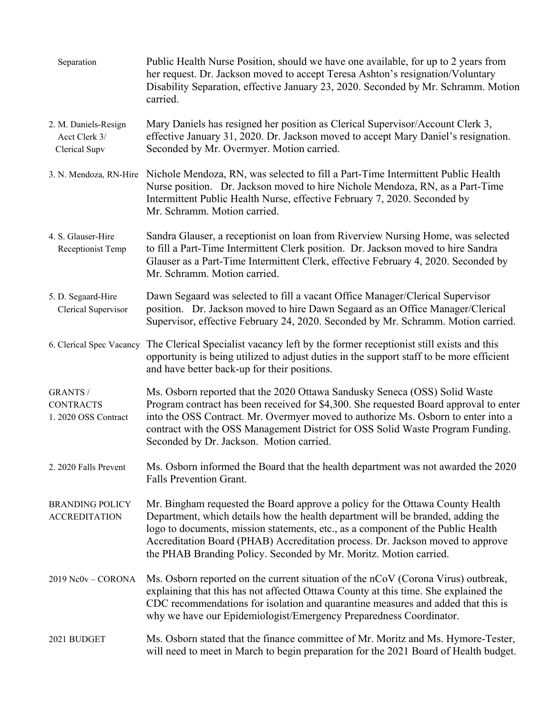| Separation                                                  | Public Health Nurse Position, should we have one available, for up to 2 years from<br>her request. Dr. Jackson moved to accept Teresa Ashton's resignation/Voluntary<br>Disability Separation, effective January 23, 2020. Seconded by Mr. Schramm. Motion<br>carried.                                                                                                                                      |
|-------------------------------------------------------------|-------------------------------------------------------------------------------------------------------------------------------------------------------------------------------------------------------------------------------------------------------------------------------------------------------------------------------------------------------------------------------------------------------------|
| 2. M. Daniels-Resign<br>Acct Clerk 3/<br>Clerical Supv      | Mary Daniels has resigned her position as Clerical Supervisor/Account Clerk 3,<br>effective January 31, 2020. Dr. Jackson moved to accept Mary Daniel's resignation.<br>Seconded by Mr. Overmyer. Motion carried.                                                                                                                                                                                           |
|                                                             | 3. N. Mendoza, RN-Hire Nichole Mendoza, RN, was selected to fill a Part-Time Intermittent Public Health<br>Nurse position. Dr. Jackson moved to hire Nichole Mendoza, RN, as a Part-Time<br>Intermittent Public Health Nurse, effective February 7, 2020. Seconded by<br>Mr. Schramm. Motion carried.                                                                                                       |
| 4. S. Glauser-Hire<br>Receptionist Temp                     | Sandra Glauser, a receptionist on loan from Riverview Nursing Home, was selected<br>to fill a Part-Time Intermittent Clerk position. Dr. Jackson moved to hire Sandra<br>Glauser as a Part-Time Intermittent Clerk, effective February 4, 2020. Seconded by<br>Mr. Schramm. Motion carried.                                                                                                                 |
| 5. D. Segaard-Hire<br>Clerical Supervisor                   | Dawn Segaard was selected to fill a vacant Office Manager/Clerical Supervisor<br>position. Dr. Jackson moved to hire Dawn Segaard as an Office Manager/Clerical<br>Supervisor, effective February 24, 2020. Seconded by Mr. Schramm. Motion carried.                                                                                                                                                        |
| 6. Clerical Spec Vacancy                                    | The Clerical Specialist vacancy left by the former receptionist still exists and this<br>opportunity is being utilized to adjust duties in the support staff to be more efficient<br>and have better back-up for their positions.                                                                                                                                                                           |
| <b>GRANTS /</b><br><b>CONTRACTS</b><br>1. 2020 OSS Contract | Ms. Osborn reported that the 2020 Ottawa Sandusky Seneca (OSS) Solid Waste<br>Program contract has been received for \$4,300. She requested Board approval to enter<br>into the OSS Contract. Mr. Overmyer moved to authorize Ms. Osborn to enter into a<br>contract with the OSS Management District for OSS Solid Waste Program Funding.<br>Seconded by Dr. Jackson. Motion carried.                      |
| 2. 2020 Falls Prevent                                       | Ms. Osborn informed the Board that the health department was not awarded the 2020<br>Falls Prevention Grant.                                                                                                                                                                                                                                                                                                |
| <b>BRANDING POLICY</b><br><b>ACCREDITATION</b>              | Mr. Bingham requested the Board approve a policy for the Ottawa County Health<br>Department, which details how the health department will be branded, adding the<br>logo to documents, mission statements, etc., as a component of the Public Health<br>Accreditation Board (PHAB) Accreditation process. Dr. Jackson moved to approve<br>the PHAB Branding Policy. Seconded by Mr. Moritz. Motion carried. |
| 2019 Nc0v - CORONA                                          | Ms. Osborn reported on the current situation of the nCoV (Corona Virus) outbreak,<br>explaining that this has not affected Ottawa County at this time. She explained the<br>CDC recommendations for isolation and quarantine measures and added that this is<br>why we have our Epidemiologist/Emergency Preparedness Coordinator.                                                                          |
| 2021 BUDGET                                                 | Ms. Osborn stated that the finance committee of Mr. Moritz and Ms. Hymore-Tester,<br>will need to meet in March to begin preparation for the 2021 Board of Health budget.                                                                                                                                                                                                                                   |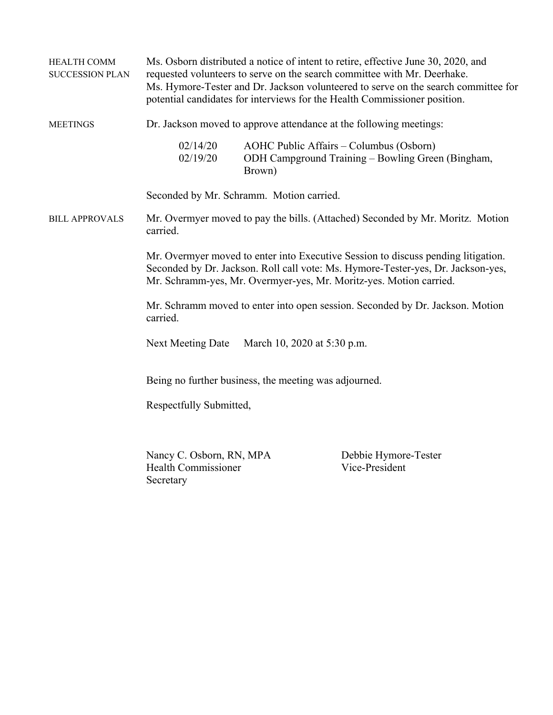| <b>HEALTH COMM</b><br><b>SUCCESSION PLAN</b> |                                                                     |                                                       | Ms. Osborn distributed a notice of intent to retire, effective June 30, 2020, and<br>requested volunteers to serve on the search committee with Mr. Deerhake.<br>Ms. Hymore-Tester and Dr. Jackson volunteered to serve on the search committee for<br>potential candidates for interviews for the Health Commissioner position. |
|----------------------------------------------|---------------------------------------------------------------------|-------------------------------------------------------|----------------------------------------------------------------------------------------------------------------------------------------------------------------------------------------------------------------------------------------------------------------------------------------------------------------------------------|
| <b>MEETINGS</b>                              |                                                                     |                                                       | Dr. Jackson moved to approve attendance at the following meetings:                                                                                                                                                                                                                                                               |
|                                              | 02/14/20<br>02/19/20                                                | Brown)                                                | AOHC Public Affairs - Columbus (Osborn)<br>ODH Campground Training - Bowling Green (Bingham,                                                                                                                                                                                                                                     |
|                                              |                                                                     | Seconded by Mr. Schramm. Motion carried.              |                                                                                                                                                                                                                                                                                                                                  |
| <b>BILL APPROVALS</b>                        | carried.                                                            |                                                       | Mr. Overmyer moved to pay the bills. (Attached) Seconded by Mr. Moritz. Motion                                                                                                                                                                                                                                                   |
|                                              |                                                                     |                                                       | Mr. Overmyer moved to enter into Executive Session to discuss pending litigation.<br>Seconded by Dr. Jackson. Roll call vote: Ms. Hymore-Tester-yes, Dr. Jackson-yes,<br>Mr. Schramm-yes, Mr. Overmyer-yes, Mr. Moritz-yes. Motion carried.                                                                                      |
|                                              | carried.                                                            |                                                       | Mr. Schramm moved to enter into open session. Seconded by Dr. Jackson. Motion                                                                                                                                                                                                                                                    |
|                                              | Next Meeting Date                                                   | March 10, 2020 at 5:30 p.m.                           |                                                                                                                                                                                                                                                                                                                                  |
|                                              |                                                                     | Being no further business, the meeting was adjourned. |                                                                                                                                                                                                                                                                                                                                  |
|                                              | Respectfully Submitted,                                             |                                                       |                                                                                                                                                                                                                                                                                                                                  |
|                                              | Nancy C. Osborn, RN, MPA<br><b>Health Commissioner</b><br>Secretary |                                                       | Debbie Hymore-Tester<br>Vice-President                                                                                                                                                                                                                                                                                           |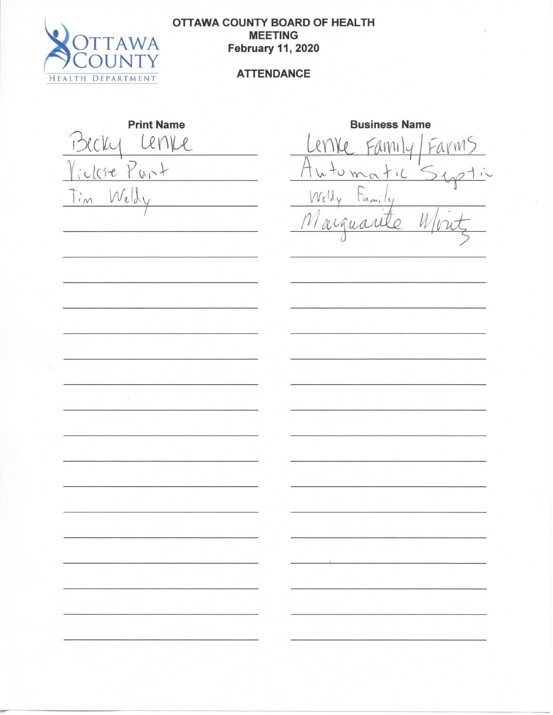

# **OTTAWA COUNTY BOARD OF HEALTH f**<br>**f**<br>**F**<br>**1 F**<br>**F**<br>**F**<br>**F February 11, 2020**

**Print Name Business Name** e Punt Auto<br>Welly Auto  $\left| \cdot \right|$ 

Business Name<br>Lenve Family Far<br>Automatic S6 Lenke Family U  $\mathcal O$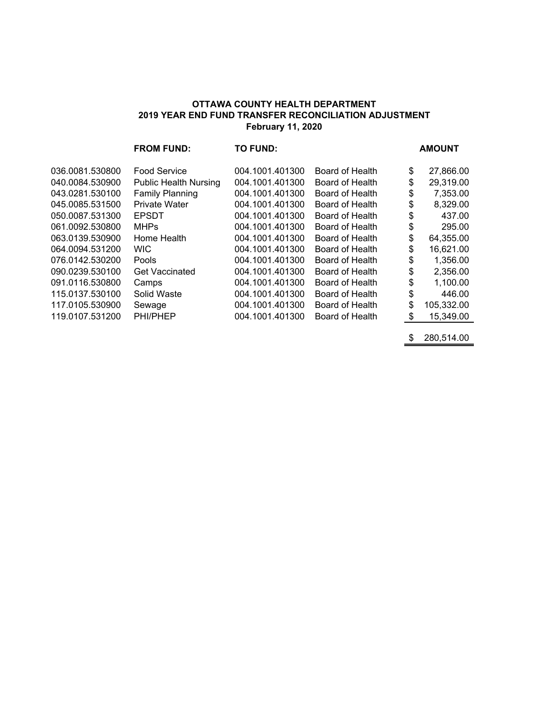### **OTTAWA COUNTY HEALTH DEPARTMENT 2019 YEAR END FUND TRANSFER RECONCILIATION ADJUSTMENT February 11, 2020**

|                 | <b>FROM FUND:</b>            | <b>TO FUND:</b> |                 | <b>AMOUNT</b>    |
|-----------------|------------------------------|-----------------|-----------------|------------------|
| 036.0081.530800 | <b>Food Service</b>          | 004.1001.401300 | Board of Health | \$<br>27,866.00  |
| 040.0084.530900 | <b>Public Health Nursing</b> | 004.1001.401300 | Board of Health | \$<br>29,319.00  |
| 043.0281.530100 | <b>Family Planning</b>       | 004.1001.401300 | Board of Health | \$<br>7,353.00   |
| 045.0085.531500 | <b>Private Water</b>         | 004.1001.401300 | Board of Health | \$<br>8,329.00   |
| 050.0087.531300 | <b>EPSDT</b>                 | 004.1001.401300 | Board of Health | \$<br>437.00     |
| 061.0092.530800 | <b>MHPs</b>                  | 004.1001.401300 | Board of Health | \$<br>295.00     |
| 063.0139.530900 | Home Health                  | 004.1001.401300 | Board of Health | \$<br>64,355.00  |
| 064.0094.531200 | WIC.                         | 004.1001.401300 | Board of Health | \$<br>16,621.00  |
| 076.0142.530200 | Pools                        | 004.1001.401300 | Board of Health | \$<br>1,356.00   |
| 090.0239.530100 | <b>Get Vaccinated</b>        | 004.1001.401300 | Board of Health | \$<br>2,356.00   |
| 091.0116.530800 | Camps                        | 004.1001.401300 | Board of Health | \$<br>1,100.00   |
| 115.0137.530100 | Solid Waste                  | 004.1001.401300 | Board of Health | \$<br>446.00     |
| 117.0105.530900 | Sewage                       | 004.1001.401300 | Board of Health | \$<br>105,332.00 |
| 119.0107.531200 | PHI/PHEP                     | 004.1001.401300 | Board of Health | \$<br>15,349.00  |
|                 |                              |                 |                 |                  |

 $\frac{\$ 280,514.00}{}$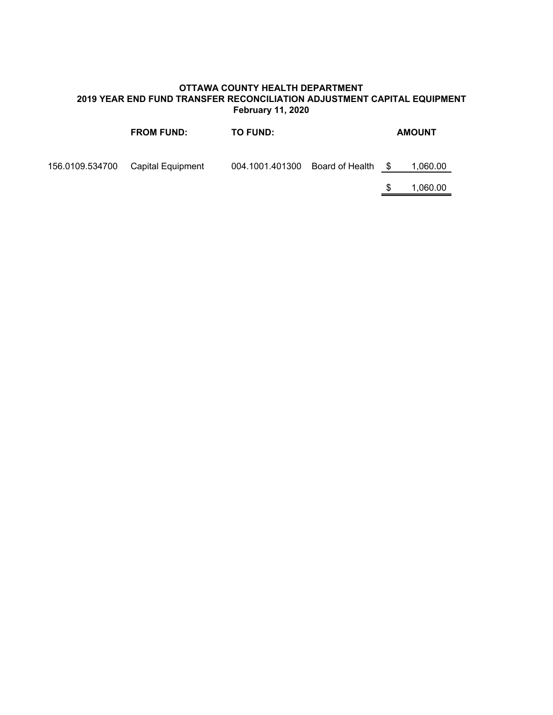### **OTTAWA COUNTY HEALTH DEPARTMENT 2019 YEAR END FUND TRANSFER RECONCILIATION ADJUSTMENT CAPITAL EQUIPMENT February 11, 2020**

| <b>FROM FUND:</b>                 | <b>TO FUND:</b>                 |   | <b>AMOUNT</b> |
|-----------------------------------|---------------------------------|---|---------------|
| 156.0109.534700 Capital Equipment | 004.1001.401300 Board of Health | S | 1,060.00      |
|                                   |                                 | S | 1,060.00      |